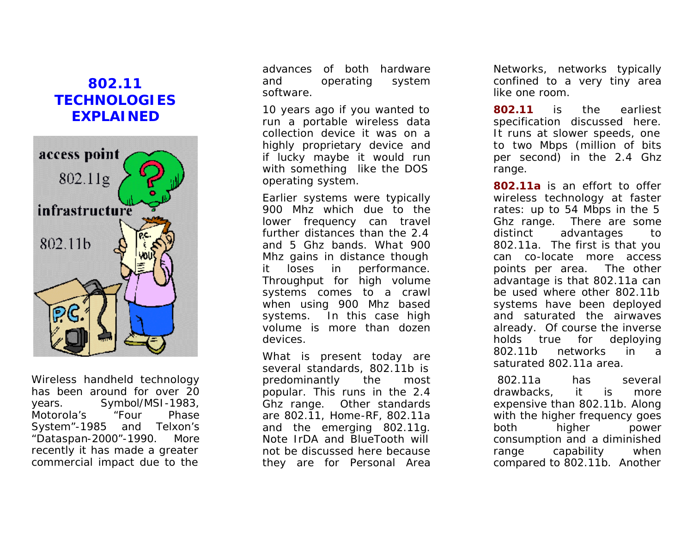# **802.11 TECHNOLOGIES EXPLAINED**



Wireless handheld technology has been around for over 20 years. Symbol/MSI -1983, Motorola's "Four Phase System" -1985 and Telxon's "Dataspan -2000" -1990. More recently it has made a greater commercial impact due to the

advances of both hardware and operating system software.

10 years ago if you wanted to run a portable wireless data collection device it was on a highly proprietary device and if lucky maybe it would run with something like the DOS operating system.

Earlier systems were typically 900 Mhz which due to the lower frequency can travel further distances than the 2.4 and 5 Ghz bands. What 900 Mhz gains in distance though it loses in performance. Throughput for high volume systems comes to a crawl when using 900 Mhz based systems. In this case high volume is more than dozen devices.

What is present today are several standards, 802.11b is predominantly the most popular. This runs in the 2.4 Ghz range. Other standards are 802.11, Home -RF, 802.11a and the emerging 802.11g. Note IrDA and BlueTooth will not be discussed here because they are for Personal Area

Networks, networks typically confined to a very tiny area like one room.

**802.11** is the earliest specification discussed here. It runs at slower speeds, one to two Mbps (million of bits per second) in the 2.4 Ghz range.

**802.11a** is an effort to offer wireless technology at faster rates: up to 54 Mbps in the 5 Ghz range. There are some distinct advantages to 802.11a. The first is that you can co -locate more access points per area. The other advantage is that 802.11a can be used where other 802.11b systems have been deployed and saturated the airwaves already. Of course the inverse holds true for deploying 802.11b networks in a saturated 802.11a area.

 802.11a has several drawbacks, it is more expensive than 802.11b. Along with the higher frequency goes both higher power consumption and a diminished range capability when compared to 802.11b. Another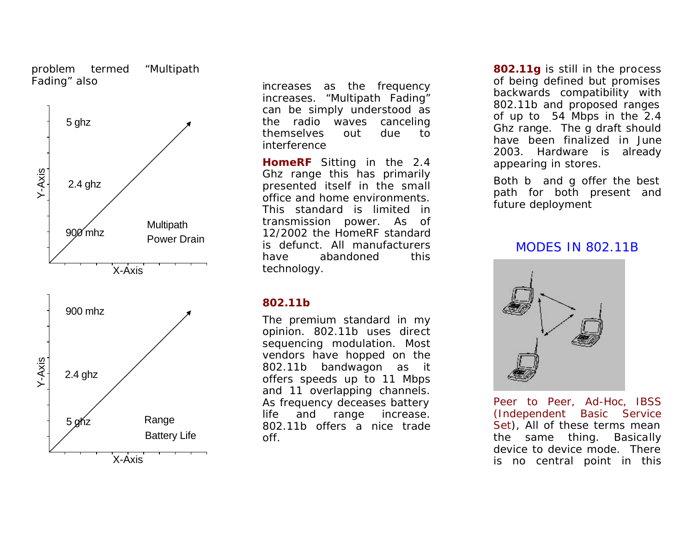#### problem termed "Multipath Fading" also



increases as the frequency increases. "Multipath Fading" can be simply understood as the radio waves canceling themselves out due to interference

**HomeRF** Sitting in the 2.4 Ghz range this has primarily presented itself in the small office and home environments. This standard is limited in transmission power. As of 12/2002 the HomeRF standard is defunct. All manufacturers have abandoned this technology.

### **802.11b**

The premium standard in my opinion. 802.11b uses direct sequencing modulation. Most vendors have hopped on the 802.11b bandwagon as it offers speeds up to 11 Mbps and 11 overlapping channels. As frequency deceases battery life and range increase. 802.11b offers a nice trade off.

**802.11g** is still in the process of being defined but promises backwards compatibility with 802.11b and proposed ranges of up to 54 Mbps in the 2.4 Ghz range. The g draft should have been finalized in June 2003. Hardware is already appearing in stores.

Both b and g offer the best path for both present and future deployment

### MODES IN 802.11B



Peer to Peer, Ad-Hoc, IBSS (Independent Basic Service Set), All of these terms mean the same thing. Basically device to device mode. There is no central point in this